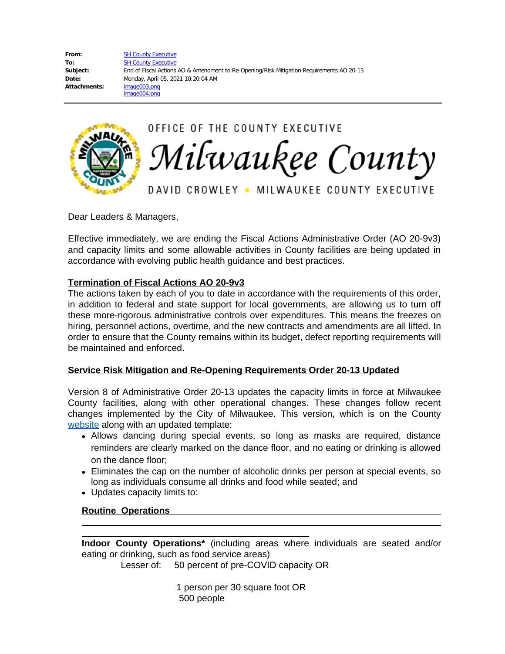From: [SH County Executive](mailto:/O=EXCHANGELABS/OU=EXCHANGE ADMINISTRATIVE GROUP (FYDIBOHF23SPDLT)/CN=RECIPIENTS/CN=7FB4EB4DD8C048D8AF79E229995852FF-COUNTY EXEC) To: [SH County Executive](mailto:CountyExec@milwaukeecountywi.gov) **Subject:** End of Fiscal Actions AO & Amendment to Re-Opening/Risk Mitigation Requirements AO 20-13 **Date:** Monday, April 05, 2021 10:20:04 AM **Attachments:** image003.png image004.png



OFFICE OF THE COUNTY EXECUTIVE Milwaukee County

DAVID CROWLEY • MILWAUKEE COUNTY EXECUTIVE

Dear Leaders & Managers,

Effective immediately, we are ending the Fiscal Actions Administrative Order (AO 20-9v3) and capacity limits and some allowable activities in County facilities are being updated in accordance with evolving public health guidance and best practices.

## **Termination of Fiscal Actions AO 20-9v3**

The actions taken by each of you to date in accordance with the requirements of this order, in addition to federal and state support for local governments, are allowing us to turn off these more-rigorous administrative controls over expenditures. This means the freezes on hiring, personnel actions, overtime, and the new contracts and amendments are all lifted. In order to ensure that the County remains within its budget, defect reporting requirements will be maintained and enforced.

## **Service Risk Mitigation and Re-Opening Requirements Order 20-13 Updated**

Version 8 of Administrative Order 20-13 updates the capacity limits in force at Milwaukee County facilities, along with other operational changes. These changes follow recent changes implemented by the City of Milwaukee. This version, which is on the County [website](https://county.milwaukee.gov/EN/COVID-19) along with an updated template:

- Allows dancing during special events, so long as masks are required, distance reminders are clearly marked on the dance floor, and no eating or drinking is allowed on the dance floor;
- Eliminates the cap on the number of alcoholic drinks per person at special events, so long as individuals consume all drinks and food while seated; and
- Updates capacity limits to:

**Routine Operations** 

 $\overline{a}$  $\overline{a}$ 

**Indoor County Operations\*** (including areas where individuals are seated and/or eating or drinking, such as food service areas)

Lesser of: 50 percent of pre-COVID capacity OR

 1 person per 30 square foot OR 500 people